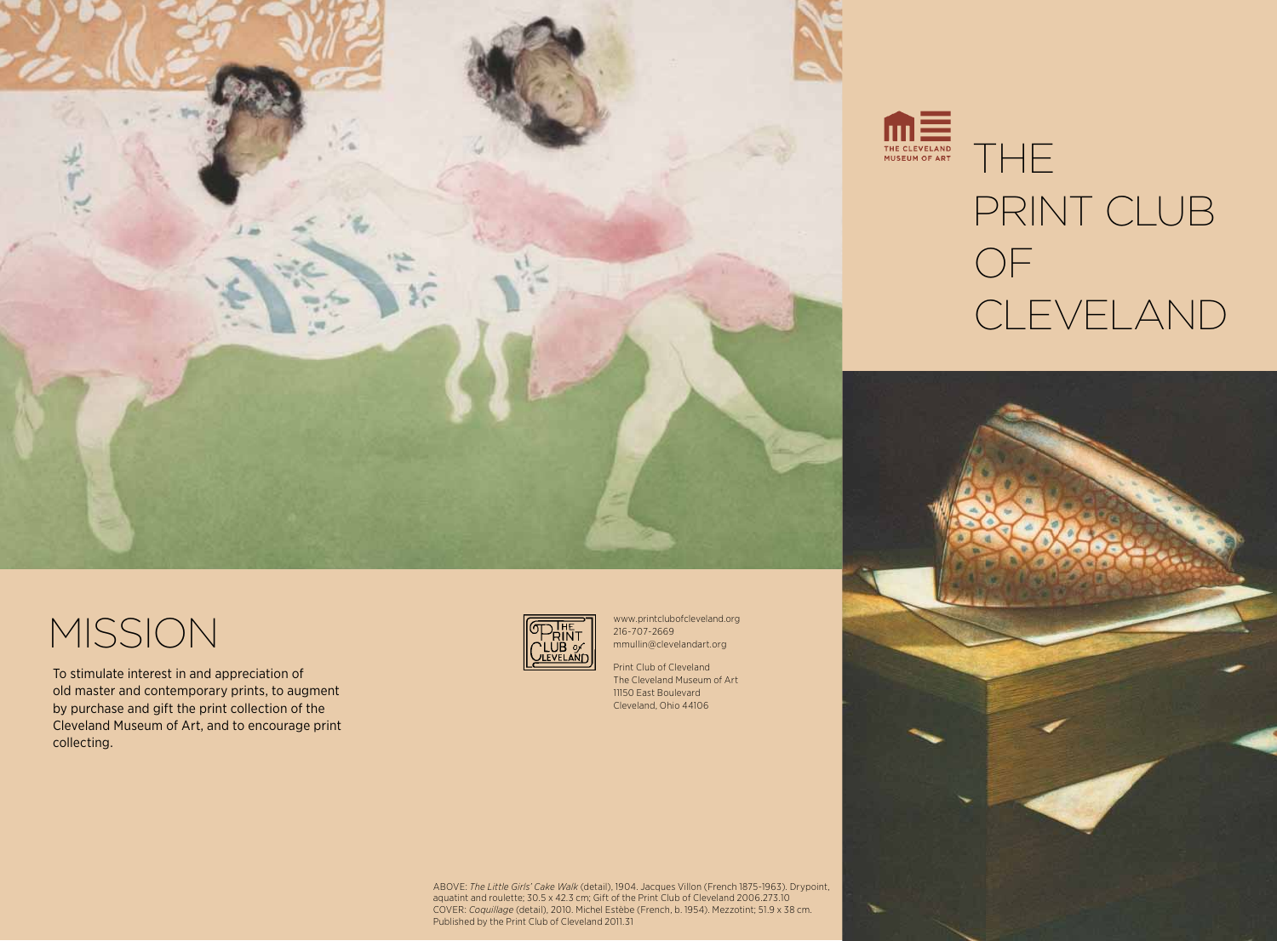

## MISSION

To stimulate interest in and appreciation of old master and contemporary prints, to augment by purchase and gift the print collection of the Cleveland Museum of Art, and to encourage print collecting.



www.printclubofcleveland.org 216-707-2669 mmullin@clevelandart.org

Print Club of Cleveland The Cleveland Museum of Art 11150 East Boulevard Cleveland, Ohio 44106

ABOVE: *The Little Girls' Cake Walk* (detail), 1904. Jacques Villon (French 1875-1963). Drypoint, aquatint and roulette; 30.5 x 42.3 cm; Gift of the Print Club of Cleveland 2006.273.10 COVER: *Coquillage* (detail), 2010. Michel Estèbe (French, b. 1954). Mezzotint; 51.9 x 38 cm. Published by the Print Club of Cleveland 2011.31

#### **THE** THE CLEVELAND<br>MUSEUM OF ART PRINT CLUB OF **CLEVELAND**